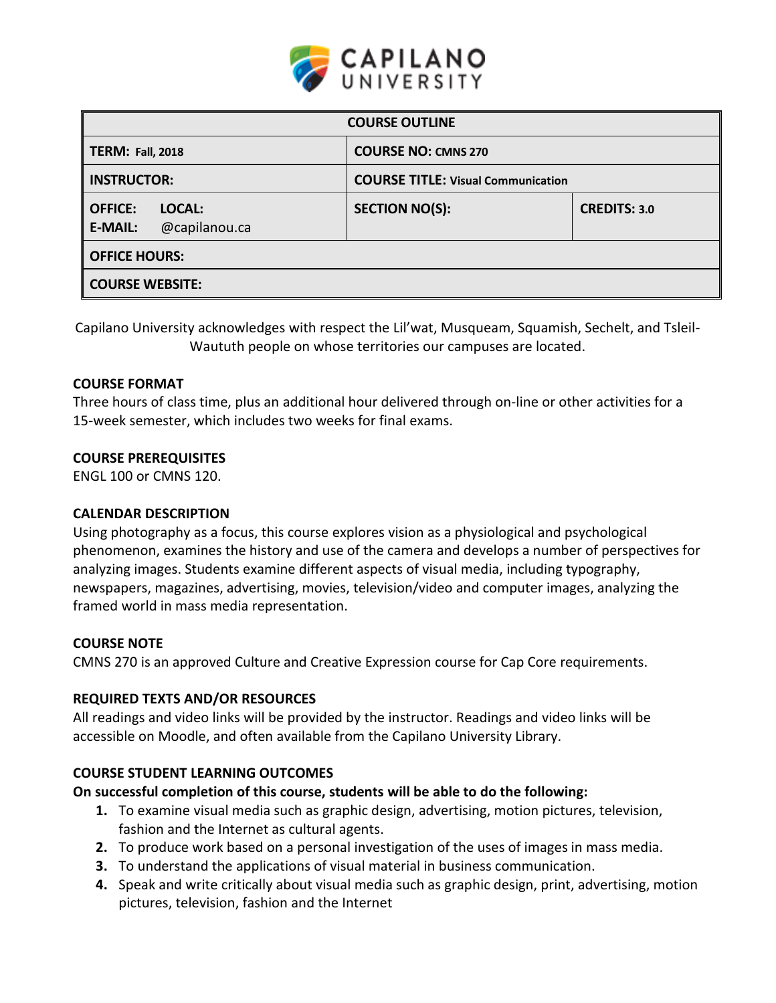

| <b>COURSE OUTLINE</b>                                       |                                           |                     |  |  |  |
|-------------------------------------------------------------|-------------------------------------------|---------------------|--|--|--|
| <b>TERM: Fall, 2018</b>                                     | <b>COURSE NO: CMNS 270</b>                |                     |  |  |  |
| <b>INSTRUCTOR:</b>                                          | <b>COURSE TITLE: Visual Communication</b> |                     |  |  |  |
| <b>OFFICE:</b><br>LOCAL:<br><b>E-MAIL:</b><br>@capilanou.ca | <b>SECTION NO(S):</b>                     | <b>CREDITS: 3.0</b> |  |  |  |
| <b>OFFICE HOURS:</b>                                        |                                           |                     |  |  |  |
| <b>COURSE WEBSITE:</b>                                      |                                           |                     |  |  |  |

Capilano University acknowledges with respect the Lil'wat, Musqueam, Squamish, Sechelt, and Tsleil-Waututh people on whose territories our campuses are located.

### **COURSE FORMAT**

Three hours of class time, plus an additional hour delivered through on-line or other activities for a 15-week semester, which includes two weeks for final exams.

#### **COURSE PREREQUISITES**

ENGL 100 or CMNS 120.

#### **CALENDAR DESCRIPTION**

Using photography as a focus, this course explores vision as a physiological and psychological phenomenon, examines the history and use of the camera and develops a number of perspectives for analyzing images. Students examine different aspects of visual media, including typography, newspapers, magazines, advertising, movies, television/video and computer images, analyzing the framed world in mass media representation.

#### **COURSE NOTE**

CMNS 270 is an approved Culture and Creative Expression course for Cap Core requirements.

### **REQUIRED TEXTS AND/OR RESOURCES**

All readings and video links will be provided by the instructor. Readings and video links will be accessible on Moodle, and often available from the Capilano University Library.

### **COURSE STUDENT LEARNING OUTCOMES**

### **On successful completion of this course, students will be able to do the following:**

- **1.** To examine visual media such as graphic design, advertising, motion pictures, television, fashion and the Internet as cultural agents.
- **2.** To produce work based on a personal investigation of the uses of images in mass media.
- **3.** To understand the applications of visual material in business communication.
- **4.** Speak and write critically about visual media such as graphic design, print, advertising, motion pictures, television, fashion and the Internet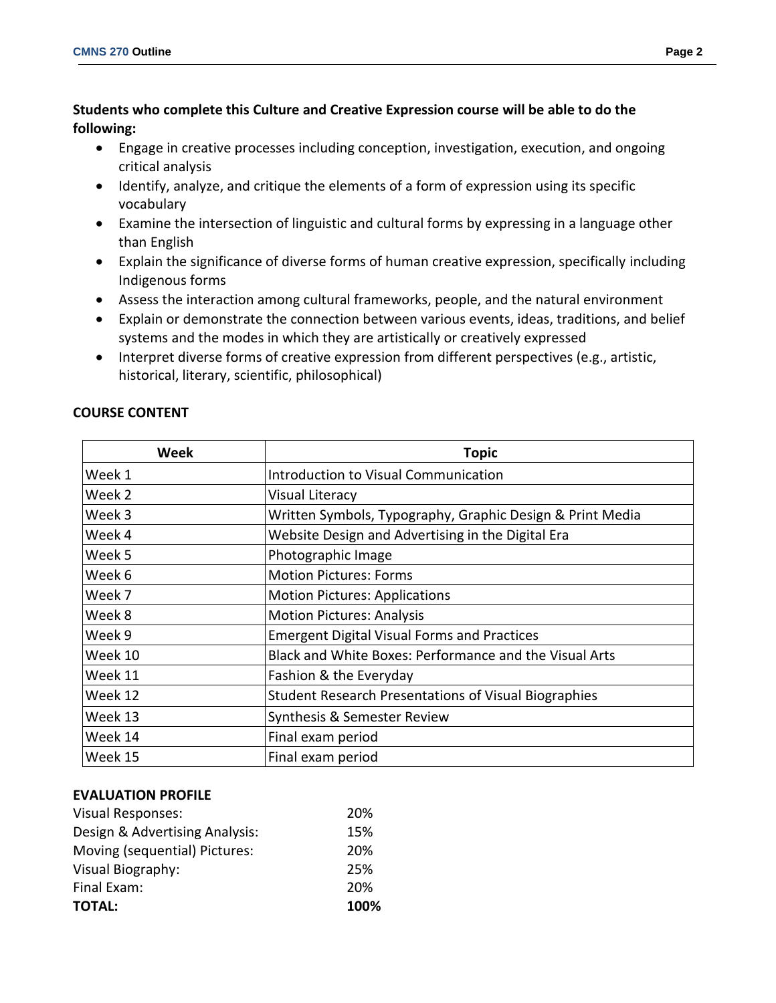- Engage in creative processes including conception, investigation, execution, and ongoing critical analysis
- Identify, analyze, and critique the elements of a form of expression using its specific vocabulary
- Examine the intersection of linguistic and cultural forms by expressing in a language other than English
- Explain the significance of diverse forms of human creative expression, specifically including Indigenous forms
- Assess the interaction among cultural frameworks, people, and the natural environment
- Explain or demonstrate the connection between various events, ideas, traditions, and belief systems and the modes in which they are artistically or creatively expressed
- Interpret diverse forms of creative expression from different perspectives (e.g., artistic, historical, literary, scientific, philosophical)

| Week    | <b>Topic</b>                                                |  |  |
|---------|-------------------------------------------------------------|--|--|
| Week 1  | Introduction to Visual Communication                        |  |  |
| Week 2  | Visual Literacy                                             |  |  |
| Week 3  | Written Symbols, Typography, Graphic Design & Print Media   |  |  |
| Week 4  | Website Design and Advertising in the Digital Era           |  |  |
| Week 5  | Photographic Image                                          |  |  |
| Week 6  | <b>Motion Pictures: Forms</b>                               |  |  |
| Week 7  | <b>Motion Pictures: Applications</b>                        |  |  |
| Week 8  | <b>Motion Pictures: Analysis</b>                            |  |  |
| Week 9  | <b>Emergent Digital Visual Forms and Practices</b>          |  |  |
| Week 10 | Black and White Boxes: Performance and the Visual Arts      |  |  |
| Week 11 | Fashion & the Everyday                                      |  |  |
| Week 12 | <b>Student Research Presentations of Visual Biographies</b> |  |  |
| Week 13 | Synthesis & Semester Review                                 |  |  |
| Week 14 | Final exam period                                           |  |  |
| Week 15 | Final exam period                                           |  |  |

# **COURSE CONTENT**

## **EVALUATION PROFILE**

| <b>Visual Responses:</b>       | 20%  |
|--------------------------------|------|
| Design & Advertising Analysis: | 15%  |
| Moving (sequential) Pictures:  | 20%  |
| Visual Biography:              | 25%  |
| Final Exam:                    | 20%  |
| <b>TOTAL:</b>                  | 100% |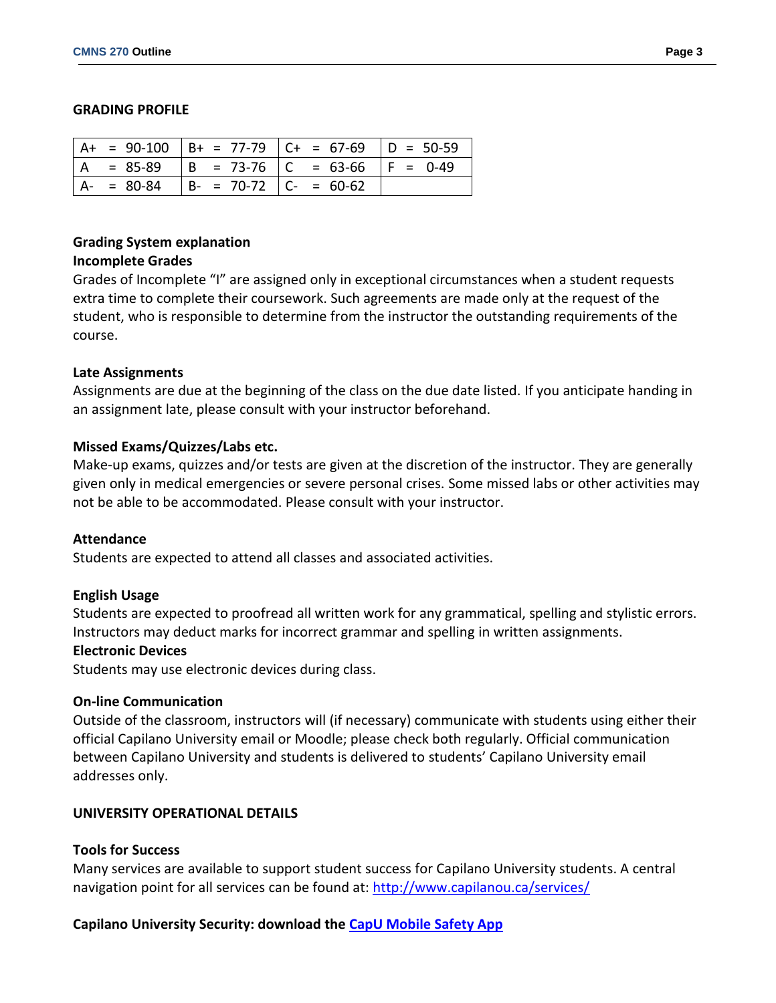#### **GRADING PROFILE**

|  |                                           | $  A + = 90-100   B + = 77-79   C + = 67-69   D = 50-59$ |  |
|--|-------------------------------------------|----------------------------------------------------------|--|
|  |                                           | $ A = 85-89$ $ B = 73-76$ $ C = 63-66$ $ F = 0-49$       |  |
|  | $ A- = 80-84$ $ B- = 70-72$ $ C- = 60-62$ |                                                          |  |

## **Grading System explanation**

#### **Incomplete Grades**

Grades of Incomplete "I" are assigned only in exceptional circumstances when a student requests extra time to complete their coursework. Such agreements are made only at the request of the student, who is responsible to determine from the instructor the outstanding requirements of the course.

### **Late Assignments**

Assignments are due at the beginning of the class on the due date listed. If you anticipate handing in an assignment late, please consult with your instructor beforehand.

### **Missed Exams/Quizzes/Labs etc.**

Make-up exams, quizzes and/or tests are given at the discretion of the instructor. They are generally given only in medical emergencies or severe personal crises. Some missed labs or other activities may not be able to be accommodated. Please consult with your instructor.

#### **Attendance**

Students are expected to attend all classes and associated activities.

#### **English Usage**

Students are expected to proofread all written work for any grammatical, spelling and stylistic errors. Instructors may deduct marks for incorrect grammar and spelling in written assignments.

#### **Electronic Devices**

Students may use electronic devices during class.

#### **On-line Communication**

Outside of the classroom, instructors will (if necessary) communicate with students using either their official Capilano University email or Moodle; please check both regularly. Official communication between Capilano University and students is delivered to students' Capilano University email addresses only.

### **UNIVERSITY OPERATIONAL DETAILS**

### **Tools for Success**

Many services are available to support student success for Capilano University students. A central navigation point for all services can be found at:<http://www.capilanou.ca/services/>

### **Capilano University Security: download the [CapU Mobile Safety App](https://www.capilanou.ca/services/safety-security/CapU-Mobile-Safety-App/)**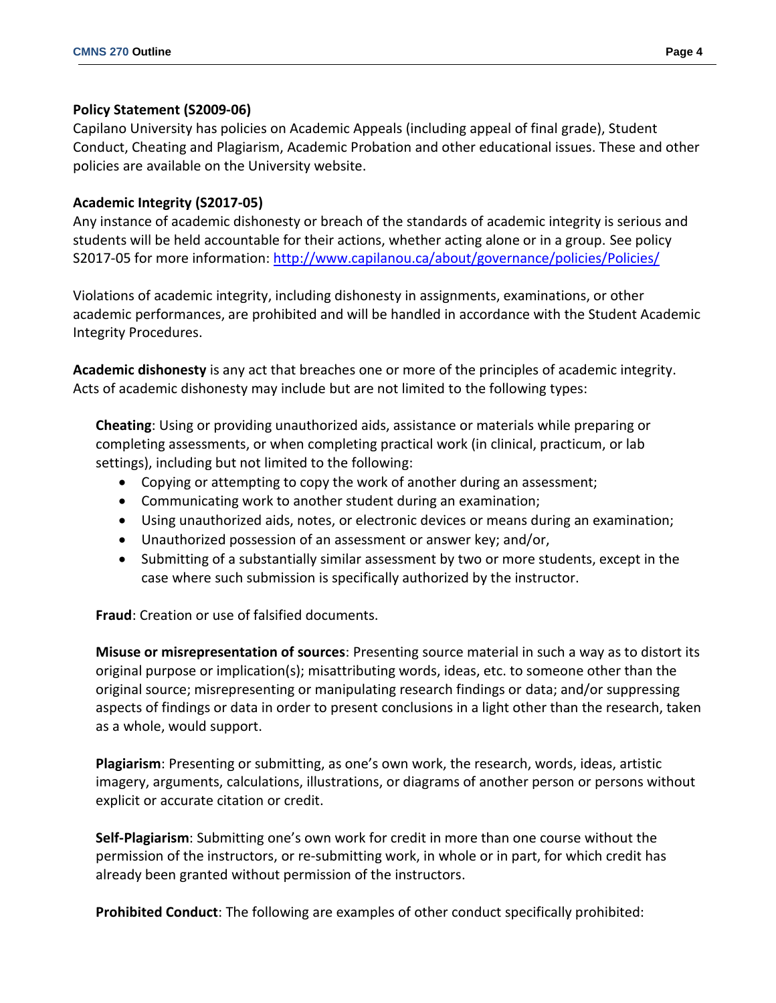### **Policy Statement (S2009-06)**

Capilano University has policies on Academic Appeals (including appeal of final grade), Student Conduct, Cheating and Plagiarism, Academic Probation and other educational issues. These and other policies are available on the University website.

### **Academic Integrity (S2017-05)**

Any instance of academic dishonesty or breach of the standards of academic integrity is serious and students will be held accountable for their actions, whether acting alone or in a group. See policy S2017-05 for more information: <http://www.capilanou.ca/about/governance/policies/Policies/>

Violations of academic integrity, including dishonesty in assignments, examinations, or other academic performances, are prohibited and will be handled in accordance with the Student Academic Integrity Procedures.

**Academic dishonesty** is any act that breaches one or more of the principles of academic integrity. Acts of academic dishonesty may include but are not limited to the following types:

**Cheating**: Using or providing unauthorized aids, assistance or materials while preparing or completing assessments, or when completing practical work (in clinical, practicum, or lab settings), including but not limited to the following:

- Copying or attempting to copy the work of another during an assessment;
- Communicating work to another student during an examination;
- Using unauthorized aids, notes, or electronic devices or means during an examination;
- Unauthorized possession of an assessment or answer key; and/or,
- Submitting of a substantially similar assessment by two or more students, except in the case where such submission is specifically authorized by the instructor.

**Fraud**: Creation or use of falsified documents.

**Misuse or misrepresentation of sources**: Presenting source material in such a way as to distort its original purpose or implication(s); misattributing words, ideas, etc. to someone other than the original source; misrepresenting or manipulating research findings or data; and/or suppressing aspects of findings or data in order to present conclusions in a light other than the research, taken as a whole, would support.

**Plagiarism**: Presenting or submitting, as one's own work, the research, words, ideas, artistic imagery, arguments, calculations, illustrations, or diagrams of another person or persons without explicit or accurate citation or credit.

**Self-Plagiarism**: Submitting one's own work for credit in more than one course without the permission of the instructors, or re-submitting work, in whole or in part, for which credit has already been granted without permission of the instructors.

**Prohibited Conduct**: The following are examples of other conduct specifically prohibited: